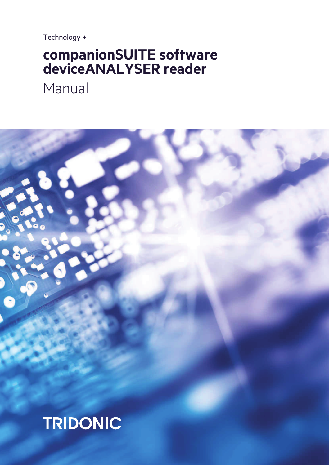Technology +

# companionSUITE software<br>deviceANALYSER reader

Manual

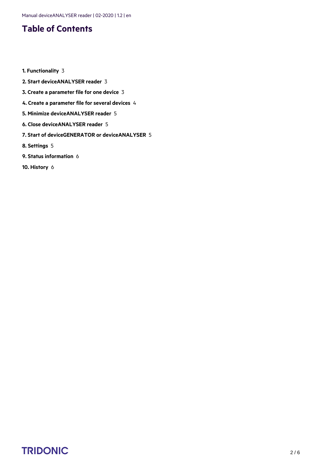# **Table of Contents**

- **1. [Functionality](#page-2-0)** 3
- **2. [Start deviceANALYSER reader](#page-2-1)** 3
- **3. [Create a parameter file for one device](#page-2-2)** 3
- **4. [Create a parameter file for several devices](#page-3-0)** 4
- **5. [Minimize deviceANALYSER reader](#page-4-0)** 5
- **6. [Close deviceANALYSER reader](#page-4-1)** 5
- **7. [Start of deviceGENERATOR or deviceANALYSER](#page-4-2)** 5
- **8. [Settings](#page-4-3)** 5
- **9. [Status information](#page-5-0)** 6
- **10. [History](#page-5-1)** 6

# $\begin{array}{ccc}\n\textbf{TRIDONIC} & & & & & & \\
\textbf{TRIDONIC} & & & & & & & \\
\end{array}$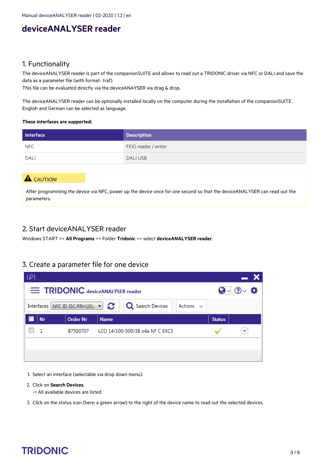# **deviceANALYSER reader**

### <span id="page-2-0"></span>1. Functionality

The deviceANALYSER reader is part of the companionSUITE and allows to read out a TRIDONIC driver via NFC or DALI and save the data as a parameter file (with format: .traf).

This file can be evaluated directly via the deviceANAYSER via drag & drop.

The deviceANALYSER reader can be optionally installed locally on the computer during the installation of the companionSUITE. English and German can be selected as language.

#### **These interfaces are supported:**

| <b>Interface</b> | <b>Description</b>   |
|------------------|----------------------|
| NFC              | FEIG reader / writer |
| <b>DALI</b>      | <b>DALIUSB</b>       |

### A CAUTION!

After programming the device via NFC, power up the device once for one second so that the deviceANALYSER can read out the parameters.

#### <span id="page-2-1"></span>2. Start deviceANALYSER reader

Windows START => **All Programs** => Folder **Tridonic** => select **deviceANALYSER reader**.

#### <span id="page-2-2"></span>3. Create a parameter file for one device

| ‡?!                            |    |                                                    |             |                                 |                |               |                    |
|--------------------------------|----|----------------------------------------------------|-------------|---------------------------------|----------------|---------------|--------------------|
| TRIDONIC deviceANALYSER reader |    |                                                    |             |                                 |                |               | Q√ ⊘√ <del>∆</del> |
|                                |    | Interfaces NFC ID ISC.PRH101- $\blacktriangledown$ |             | <b>Q</b> Search Devices         | Actions $\sim$ |               |                    |
|                                | Nr | <b>Order Nr</b>                                    | <b>Name</b> |                                 |                | <b>Status</b> |                    |
|                                | 1  | 87500707                                           |             | LCO 14/100-500/38 o4a NF C EXC3 |                |               |                    |
|                                |    |                                                    |             |                                 |                |               |                    |
|                                |    |                                                    |             |                                 |                |               |                    |

- 1. Select an interface (selectable via drop down menu).
- 2. Click on **Search Devices**.
	- -> All available devices are listed.
- 3. Click on the status icon (here: a green arrow) to the right of the device name to read out the selected devices.

# $\begin{array}{ccc}\n\textbf{TRIDONIC} & & & & & & \\
\textbf{TRIDONIC} & & & & & & \\
\end{array}$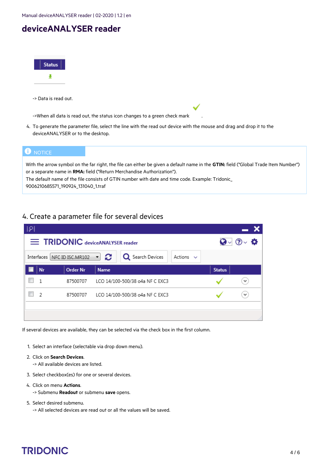Manual deviceANALYSER reader | 02-2020 | 1.2 | en

# **deviceANALYSER reader** 3.

| <b>Status</b><br>Ł                                                                                                                                                                                                                                                                                                                                             |
|----------------------------------------------------------------------------------------------------------------------------------------------------------------------------------------------------------------------------------------------------------------------------------------------------------------------------------------------------------------|
| -> Data is read out.                                                                                                                                                                                                                                                                                                                                           |
| ->When all data is read out, the status icon changes to a green check mark                                                                                                                                                                                                                                                                                     |
| 4. To generate the parameter file, select the line with the read out device with the mouse and drag and drop it to the<br>device ANALYSER or to the desktop.                                                                                                                                                                                                   |
| <b>D</b> NOTICE                                                                                                                                                                                                                                                                                                                                                |
| With the arrow symbol on the far right, the file can either be given a default name in the <b>GTIN:</b> field ("Global Trade Item Number")<br>or a separate name in RMA: field ("Return Merchandise Authorization").<br>The default name of the file consists of GTIN number with date and time code. Example: Tridonic_<br>9006210685571 190924 131040 1.traf |

### <span id="page-3-0"></span>4. Create a parameter file for several devices

| ÷₽i                                           |                |                               |                                           |               |                    |
|-----------------------------------------------|----------------|-------------------------------|-------------------------------------------|---------------|--------------------|
| <b>EXAMPLE TRIDONIC deviceANALYSER reader</b> |                |                               |                                           |               | Q√ ⊙√ <del>ధ</del> |
|                                               |                | Interfaces   NFC ID ISC.MR102 | ⊸ జ<br>Q Search Devices<br>Actions $\vee$ |               |                    |
|                                               | Nr             | <b>Order Nr</b>               | <b>Name</b>                               | <b>Status</b> |                    |
|                                               | 1              | 87500707                      | LCO 14/100-500/38 o4a NF C EXC3           |               | $\checkmark$       |
|                                               | $\overline{2}$ | 87500707                      | LCO 14/100-500/38 o4a NF C EXC3           |               | $\checkmark$       |
|                                               |                |                               |                                           |               |                    |
|                                               |                |                               |                                           |               | лB                 |

If several devices are available, they can be selected via the check box in the first column.

- 1. Select an interface (selectable via drop down menu).
- 2. Click on **Search Devices**.

-> All available devices are listed.

- 3. Select checkbox(es) for one or several devices.
- 4. Click on menu **Actions**.

-> Submenu **Readout** or submenu **save** opens.

5. Select desired submenu.

-> All selected devices are read out or all the values will be saved.

# TRIDONIC 4/6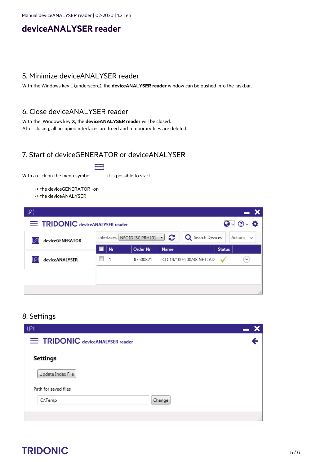## **deviceANALYSER reader**

#### <span id="page-4-0"></span>5. Minimize deviceANALYSER reader

With the Windows key **\_** (underscore), the **deviceANALYSER reader** window can be pushed into the taskbar.

#### <span id="page-4-1"></span>6. Close deviceANALYSER reader

With the Windows key **X**, the **deviceANALYSER reader** will be closed. After closing, all occupied interfaces are freed and temporary files are deleted.

### <span id="page-4-2"></span>7. Start of deviceGENERATOR or deviceANALYSER

With a click on the menu symbol it is possible to start

- -> the deviceGENERATOR -or-
- -> the deviceANALYSER

| ‡श                             |                |  |    |                                                                |             |                           |               |                |
|--------------------------------|----------------|--|----|----------------------------------------------------------------|-------------|---------------------------|---------------|----------------|
| TRIDONIC deviceANALYSER reader |                |  |    |                                                                |             | Q√ ⊙√ <del>ధ</del>        |               |                |
| deviceGENERATOR                |                |  |    | Interfaces NFC ID ISC.PRH101- $\blacktriangleright$ $\bigcirc$ |             | Q Search Devices          |               | Actions $\sim$ |
|                                |                |  | Nr | <b>Order Nr</b>                                                | <b>Name</b> |                           | <b>Status</b> |                |
|                                | deviceANALYSER |  |    | 87500821                                                       |             | LCO 14/100-500/38 NF C AD |               | $\checkmark$   |
|                                |                |  |    |                                                                |             |                           |               |                |
|                                |                |  |    |                                                                |             |                           |               |                |
|                                |                |  |    |                                                                |             |                           |               |                |

### <span id="page-4-3"></span>8. Settings

| ાં⊗ાં                          |     |
|--------------------------------|-----|
| TRIDONIC deviceANALYSER reader |     |
| Settings                       |     |
| Update Index File              |     |
| Path for saved files           |     |
| Change<br>C:\Temp              |     |
|                                | 117 |

# TRIDONIC 5/6